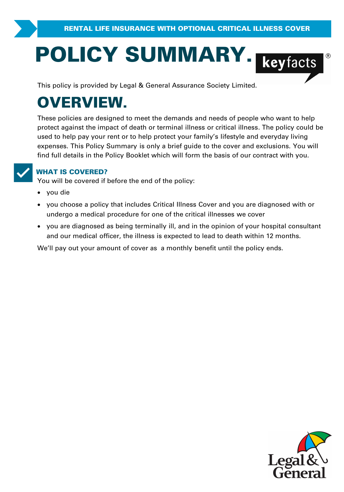# **POLICY SUMMARY.**<br>
This policy is provided by Legal & General Assurance Society Limited.

# **OVERVIEW.**

These policies are designed to meet the demands and needs of people who want to help **Protect against the impact of death or terminal illness or critical illness.**<br>These policies are designed to meet the demands and needs of people who want to help<br>protect against the impact of death or terminal illness or used to help pay your rent or to help protect your family's lifestyle and everyday living protect against the impact of death or terminal illness or critical illness. The policy could be<br>used to help pay your rent or to help protect your family's lifestyle and everyday living<br>expenses. This Policy Summary is on find full details in the Policy Booklet which will form the basis of our contract with you.

**VORGOVERED?**<br>
You will be covered if before the end of the policy:

- · you die
- ·**IAT IS COVERED?**<br>u will be covered if before the end of the policy:<br>you die<br>you choose a policy that includes Critical Illness Cover and you are diagnosed with or<br>undergo a medical procedure for one of the critical illnes Vou will be covered if before the end of the policy:<br>
• you die<br>
• you choose a policy that includes Critical Illness Cover and you are diagnose<br>
• you are diagnosed as being terminally ill, and in the opinion of your hosp
- you are diagnosed as being terminally ill, and in the opinion of your hospital consultant and our medical officer, the illness is expected to lead to death within 12 months. undergo a medical procedure for one of the critical illnesses we cover<br>• you are diagnosed as being terminally ill, and in the opinion of your hospita<br>and our medical officer, the illness is expected to lead to death withi

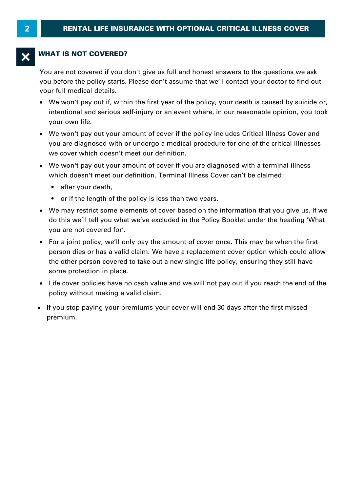# **WHAT IS NOT COVERED?**

You are not covered if you don't give us full and honest answers to the questions we ask you before the policy starts. Please don't assume that we'll contact your doctor to find out your full medical details.

- · We won't pay out if, within the first year of the policy, your death is caused by suicide or, your own life.
- Intentional and serious self-injury or an event where, in our reasonable opinion, you took your own life.<br>We won't pay out your amount of cover if the policy includes Critical Illness Cover and<br>you are diagnosed with or un · We won't pay out your amount of cover if the policy includes Critical Illness Cover and we cover which doesn't meet our definition. We won't pay out your amount of cover if the policy includes Critical Illness Cover and<br>you are diagnosed with or undergo a medical procedure for one of the critical illnesses<br>we cover which doesn't meet our definition.<br>We
- ·which doesn't meet our definition. Terminal Illness Cover can't be claimed:
	- after your death.
	- or if the length of the policy is less than two years.
- We may restrict some elements of cover based on the information that you give us. If we do this we'll tell you what we've excluded in the Policy Booklet under the heading 'What you are not covered for'.<br>• For a joint pol do this we'll tell you what we've excluded in the Policy Booklet under the heading 'What you are not covered for'.
- For a joint policy, we'll only pay the amount of cover once. This may be when the first person dies or has a valid claim. We have a replacement cover once. This may be when the first<br>you are not covered for'.<br>For a joint policy, we'll only pay the amount of cover once. This may be when the first<br>person dies o person dies or has a valid claim. We have a replacement cover option which could allow<br>the other person covered to take out a new single life policy, ensuring they still have some protection in place. policies of his a valid claim. We have<br>the other person covered to take out a ne<br>some protection in place.<br>• Life cover policies have no cash value ar<br>policy without making a valid claim.<br>• If you stop paying your premiums
- · Life cover policies have no cash value and we will not pay out if you reach the end of the
- If you stop paying your premiums your cover will end 30 days after the first missed premium.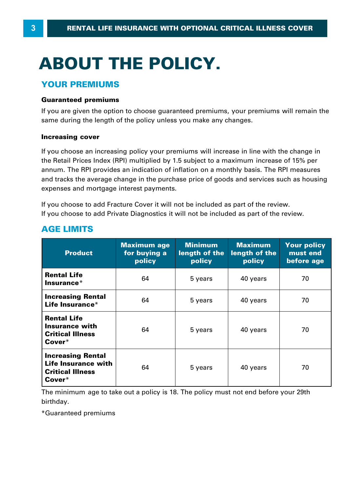# **ABOUT THE POLICY.**

# **YOUR PREMIUMS**

# **Guaranteed premiums**

If you are given the option to choose guaranteed premiums, your premiums will remain the same during the length of the policy unless you make any changes.

# **Increasing cover**

If you choose an increasing policy your premiums will increase in line with the change in same during the length of the policy unless you make any changes.<br> **Increasing cover**<br>
If you choose an increasing policy your premiums will increase in line with the change in<br>
the Retail Prices Index (RPI) multiplied by **Increasing cover**<br>If you choose an increasing policy your premiums will increase in line with the change in<br>the Retail Prices Index (RPI) multiplied by 1.5 subject to a maximum increase of 15% per<br>annum. The RPI provides expenses and mortgage interest payments.

If you choose to add Fracture Cover it will not be included as part of the review. If you choose to add Private Diagnostics it will not be included as part of the review.

| <b>Product</b>                                                                       | <b>Maximum age</b><br>for buying a<br>policy | <b>Minimum</b><br>length of the<br>policy | <b>Maximum</b><br>length of the<br>policy | <b>Your policy</b><br>must end<br>before age |
|--------------------------------------------------------------------------------------|----------------------------------------------|-------------------------------------------|-------------------------------------------|----------------------------------------------|
| <b>Rental Life</b><br>Insurance*                                                     | 64                                           | 5 years                                   | 40 years                                  | 70                                           |
| <b>Increasing Rental</b><br>Life Insurance*                                          | 64                                           | 5 years                                   | 40 years                                  | 70                                           |
| <b>Rental Life</b><br><b>Insurance with</b><br><b>Critical Illness</b><br>Cover*     | 64                                           | 5 years                                   | 40 years                                  | 70                                           |
| <b>Increasing Rental</b><br>Life Insurance with<br><b>Critical Illness</b><br>Cover* | 64                                           | 5 years                                   | 40 years                                  | 70                                           |

# **AGE LIMITS**

The minimum age to take out a policy is 18. The policy must not end before your 29th birthday.

\*Guaranteed premiums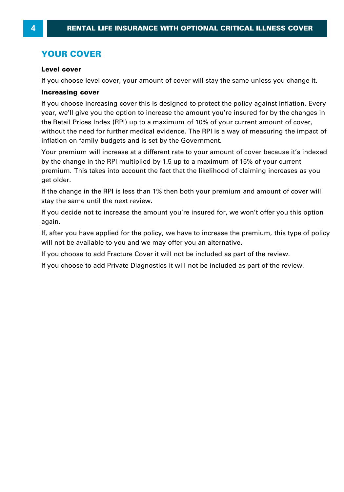# **YOUR COVER**

# **Level cover**

If you choose level cover, your amount of cover will stay the same unless you change it.

# **Increasing cover**

If you choose increasing cover this is designed to protect the policy against inflation. Every year, we'll give you the option to increase the amount you're insured for by the changes in Increasing cover cover, your amount of cover will stay the same unless you entinge it.<br>Increasing cover<br>If you choose increasing cover this is designed to protect the policy against inflation. Every<br>year, we'll give you th **Increasing cover**<br>If you choose increasing cover this is designed to protect the policy against inflation. Every<br>year, we'll give you the option to increase the amount you're insured for by the changes in<br>the Retail Price inflation on family budgets and is set by the Government. year, we'll give you the option to increase the amount you're insured for by the changes in<br>the Retail Prices Index (RPI) up to a maximum of 10% of your current amount of cover,<br>without the need for further medical evidenc

the Retail Prices Index (RPI) up to a maximum of 10% of your current amount of cover,<br>without the need for further medical evidence. The RPI is a way of measuring the impac<br>inflation on family budgets and is set by the Gov premium. This takes into account the fact that the likelihood of claiming increases as you get older.

If the change in the RPI is less than 1% then both your premium and amount of cover will stay the same until the next review.

If you decide not to increase the amount you're insured for, we won't offer you this option again.

If, after you have applied for the policy, we have to increase the premium, this type of policy will not be available to you and we may offer you an alternative.

If you choose to add Fracture Cover it will not be included as part of the review.

If you choose to add Private Diagnostics it will not be included as part of the review.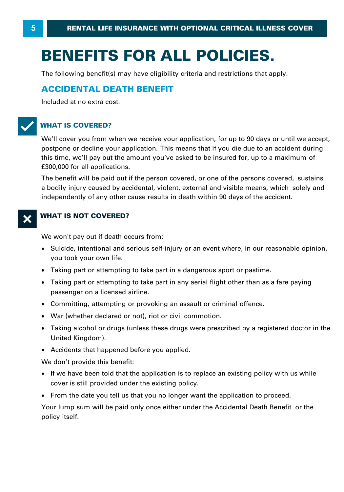# **BENEFITS FOR ALL POLICIES.**

The following benefit(s) may have eligibility criteria and restrictions that apply.

# **ACCIDENTAL DEATH BENEFIT**

Included at no extra cost.

# T**WHAT IS COVERED?**

We'll cover you from when we receive your application, for up to 90 days or until we accept, postpone or decline your application. This means that if you die due to an accident during WHAT IS COVERED?<br>We'll cover you from when we receive your application, for up to 90 days or until we accept,<br>postpone or decline your application. This means that if you die due to an accident during<br>this time, we'll pay £300,000 for all applications.

The benefit will be paid out if the person covered, or one of the persons covered, sustains a bodily injury caused by accidental, violent, external and visible means, which solely and independently of any other cause results in death within 90 days of the accident.

# **WHAT IS NOT COVERED?**

We won't pay out if death occurs from:

- · Suicide, intentional and serious self-injury or an event where, in our reasonable opinion, you took your own life. We won't pay out if death occurs from:<br>• Suicide, intentional and serious self-injury or an event where, in our reasor<br>you took your own life.<br>• Taking part or attempting to take part in a dangerous sport or pastime.<br>• Tak Suicide, intentional and serious self-injury or an event where, in our reasonable opinion,<br>you took your own life.<br>Taking part or attempting to take part in a dangerous sport or pastime.<br>Taking part or attempting to take p
- ·
- you took your own life.<br>• Taking part or attempting to take pa<br>• Taking part or attempting to take pa<br>• passenger on a licensed airline.<br>• Committine. attempting or provoking
- Committing, attempting or provoking an assault or criminal offence.
- · War (whether declared or not), riot or civil commotion.
- ·passenger on a licensed airline.<br>Committing, attempting or provoking an assault or criminal offence.<br>War (whether declared or not), riot or civil commotion.<br>Taking alcohol or drugs (unless these drugs were prescribed by a United Kingdom).
- · Accidents that happened before you applied.

We don't provide this benefit:

- · If we have been told that the application is to replace an existing policy with us while cover is still provided under the existing policy.
- · From the date you tell us that you no longer want the application to proceed.

Your lump sum will be paid only once either under the Accidental Death Benefit or the policy itself.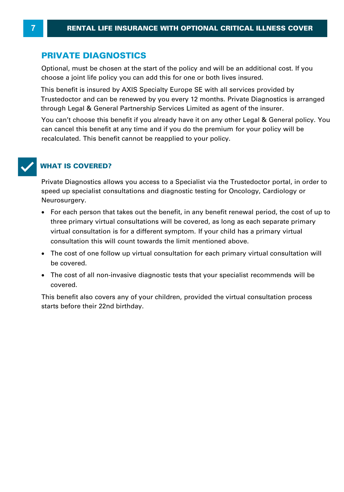# **PRIVATE DIAGNOSTICS**

Optional, must be chosen at the start of the policy and will be an additional cost. If you **PRIVATE DIAGNOSTICS**<br>Optional, must be chosen at the start of the policy and will be an additional cost. I<br>choose a joint life policy you can add this for one or both lives insured.<br>This benefit is insured by AXIS Special

Trustedoctor and can be renewed by you every 12 months. Private Diagnostics is arranged through Legal & General Partnership Services Limited as agent of AXIS Specialty Europe SE.

You can't choose this benefit if you already have it on any other Legal & General policy. You can cancel this benefit at any time and if you do the premium for your policy will be recalculated. This benefit cannot be reapplied to your policy.



# T**WHAT IS COVERED?**

Private Diagnostics allows you access to a Specialist via the Trustedoctor portal, in order to speed up specialist consultations and diagnostic testing for Oncology, Cardiology or Neurosurgery.

- · For each person that takes out the benefit, in any benefit renewal period, the cost of up to three primary virtual consultations will be covered, as long as each separate primary ved up specialist consultations and diagnostic testing for Oncology, Cardiology or<br>trosurgery.<br>For each person that takes out the benefit, in any benefit renewal period, the cost of u<br>three primary virtual consultations wi consultation this will count towards the limit mentioned above.
- · The cost of one follow up virtual consultation for each primary virtual consultation will be covered.
- · The cost of all non-invasive diagnostic tests that your specialist recommends will be covered.

This benefit also covers any of your children, provided the virtual consultation process starts before their 22nd birthday.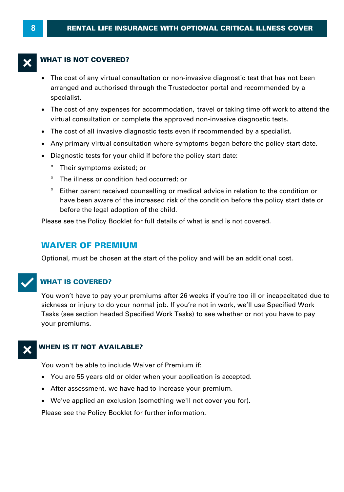# **WHAT IS NOT COVERED?**

- · The cost of any virtual consultation or non-invasive diagnostic test that has not been arranged and authorised through the Trustedoctor portal and recommended by a specialist.
- · The cost of any expenses for accommodation, travel or taking time off work to attend the virtual consultation or complete the approved non-invasive diagnostic tests. Superialist.<br>
• The cost of any expenses for accommodation, travel or taking time off work to attivirtual consultation or complete the approved non-invasive diagnostic tests.<br>
• The cost of all invasive diagnostic tests ev
- The cost of all invasive diagnostic tests even if recommended by a specialist.
- Any primary virtual consultation where symptoms began before the policy start date.
- · Diagnostic tests for your child if before the policy start date:
	- Their symptoms existed; or
	- º The illness or condition had occurred; or
	- º Either parent received counselling or medical advice in relation to the condition or have been aware of the increased risk of the condition before the policy start date or before the legal adoption of the child.

Please see the Policy Booklet for full details of what is and is not covered.

# **WAIVER OF PREMIUM**

Optional, must be chosen at the start of the policy and will be an additional cost.



# **WHAT IS COVERED?**

You won't have to pay your premiums after 26 weeks if you're too ill or incapacitated due to sickness or injury to do your normal job. If you're not in work, we'll use Specified Work Tasks (see section headed Specified Work Tasks) to see whether or not you have to pay your premiums.

# X**WHEN IS IT NOT AVAILABLE?**

You won't be able to include Waiver of Premium if:

- · You are 55 years old or older when your application is accepted.
- · After assessment, we have had to increase your premium.
- · We've applied an exclusion (something we'll not cover you for).

Please see the Policy Booklet for further information.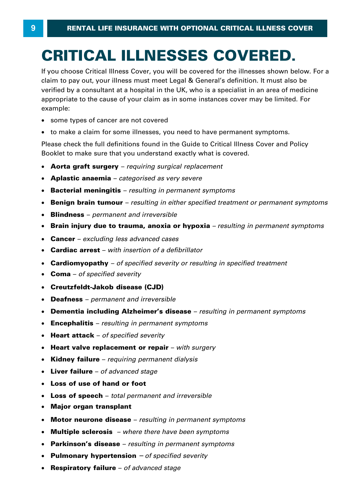# **CRITICAL ILLNESSES COVERED.**

If you choose Critical Illness Cover, you will be covered for the illnesses shown below. For a **CRITICAL ILLNESSES COVERED.**<br>If you choose Critical Illness Cover, you will be covered for the illnesses shown below. For<br>claim to pay out, your illness must meet Legal & General's definition. It must also be<br>verified by **CRITICAL ILLNESSES COVERED.**<br>If you choose Critical Illness Cover, you will be covered for the illnesses shown below. For a<br>claim to pay out, your illness must meet Legal & General's definition. It must also be<br>verified b Formal by a consultant at a hoopital in the City who is a opposition in an area of meansing<br>appropriate to the cause of your claim as in some instances cover may be limited. For<br>• some types of cancer are not covered<br>• to example:

- · some types of cancer are not covered
- to make a claim for some illnesses, you need to have permanent symptoms.

Please check the full definitions found in the Guide to Critical Illness Cover and Policy Booklet to make sure that you understand exactly what is covered.

- · **Aorta graft surgery**  *requiring surgical replacement*
- · **Aplastic anaemia**  *categorised as very severe*
- · **Bacterial meningitis**  *resulting in permanent symptoms*
- · **Benign brain tumour**  *resulting in either specified treatment or permanent symptoms*
- · **Blindness**  *permanent and irreversible*
- Brain injury due to trauma, anoxia or hypoxia resulting in permanent symptoms **Brain injury due to trauma, anoxia or hypoxia** *– resulting in permanent symptoms*<br>Cancer – *excluding less advanced cases*<br>Cardiac arrest – with insertion of a defibrillator<br>Cardiomyopathy – of specified severity or resu
- · **Cancer**  *excluding less advanced cases*
- Cardiac arrest with insertion of a defibrillator
- **Cardiac arrest**  *with insertion of a defibrillator* · **Cardiomyopathy**  *of specified severity or resulting in specified treatment* · **Coma**  *of specified severity*
- 
- · **Creutzfeldt-Jakob disease (CJD)**
- · **Deafness**  *permanent and irreversible*
- · **Dementia including Alzheimer's disease**  *resulting in permanent symptoms*
- · **Encephalitis**  *resulting in permanent symptoms*
- · **Heart attack**  *of specified severity*
- · **Heart valve replacement or repair**  *with surgery*
- · **Kidney failure**  *requiring permanent dialysis*
- · **Liver failure**  *of advanced stage*
- · **Loss of use of hand or foot**
- · **Loss of speech**  *total permanent and irreversible*
- · **Major organ transplant**
- · **Motor neurone disease**  *resulting in permanent symptoms*
- · **Multiple sclerosis**  *where there have been symptoms*
- · **Parkinson's disease**  *resulting in permanent symptoms*
- · **Pulmonary hypertension** *– of specified severity*
- · **Respiratory failure**  *of advanced stage*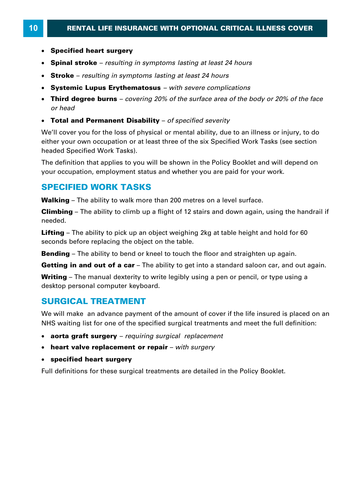- · **Specified heart surgery**
- · **Spinal stroke**  *resulting in symptoms lasting at least 24 hours*
- · **Stroke**  *resulting in symptoms lasting at least 24 hours*
- · **Systemic Lupus Erythematosus**  *with severe complications*
- · **Third degree burns**  *covering 20% of the surface area of the body or 20% of the face*
- · **Total and Permanent Disability**  *of specified severity*

We'll cover you for the loss of physical or mental ability, due to an illness or injury, to do either your own occupation or at least three of the six Specified Work Tasks (see section headed Specified Work Tasks).

The definition that applies to you will be shown in the Policy Booklet and will depend on your occupation, employment status and whether you are paid for your work. The definition that applies to you will be shown in the Policy Booklet and wi<br>your occupation, employment status and whether you are paid for your wor<br>**SPECIFIED WORK TASKS**<br>Walking – The ability to walk more than 200 metr

# **SPECIFIED WORK TASKS**

your occupation, employment status and whether you are paid for your work.<br>**SPECIFIED WORK TASKS**<br>Walking – The ability to walk more than 200 metres on a level surface.<br>Climbing – The ability to climb up a flight of 12 sta needed. **Walking –** The ability to walk more than 200 metres on a level surface.<br>**Climbing –** The ability to climb up a flight of 12 stairs and down again, using the handrail<br>needed.<br>**Lifting –** The ability to pick up an object we

seconds before replacing the object on the table. **Lifting** – The ability to pick up an object weighing 2kg at table height and hold for 60 seconds before replacing the object on the table.<br>**Bending** – The ability to bend or kneel to touch the floor and straighten up agai **Lifting –** The ability to pick up an object weighing 2kg at table height and hold for 60 seconds before replacing the object on the table.<br>**Bending –** The ability to bend or kneel to touch the floor and straighten up agai

seconds before replacing the object on the table.<br>**Bending** – The ability to bend or kneel to touch the floor and straighten up again.<br>**Getting in and out of a car** – The ability to get into a standard saloon car, and out desktop personal computer keyboard.

# **SURGICAL TREATMENT**

We will make an advance payment of the amount of cover if the life insured is placed on an NHS waiting list for one of the specified surgical treatments and meet the full definition:

- · **aorta graft surgery**  *requiring surgical replacement*
- · **heart valve replacement or repair**  *with surgery*
- · **specified heart surgery**

Full definitions for these surgical treatments are detailed in the Policy Booklet.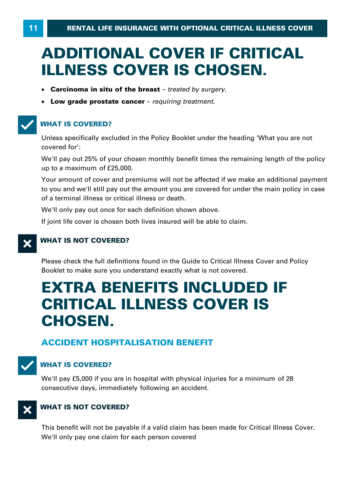# **ADDITIONAL COVER IF CRITICAL ILLNESS COVER IS CHOSEN.**

- · **Carcinoma in situ of the breast**  *treated by surgery.*
- · **Low grade prostate cancer**  *requiring treatment.*

# T**WHAT IS COVERED?**

Unless specifically excluded in the Policy Booklet under the heading 'What you are not covered for': Unless specifically excluded in the<br>covered for':<br>We'll pay out 25% of your chosen<br>up to a maximum of £25,000.<br>Your amount of cover and premiu

We'll pay out 25% of your chosen monthly benefit times the remaining length of the policy

Your amount of cover and premiums will not be affected if we make an additional payment to you and we'll still pay out the amount you are covered for under the main policy in case of a terminal illness or critical illness or death .

We'll only pay out once for each definition shown above.

If joint life cover is chosen both lives insured will be able to claim.

# **X** WHAT IS NOT COVERED?

Please check the full definitions found in the Guide to Critical Illness Cover and Policy Booklet to make sure you understand exactly what is not covered.

# **EXTRA BENEFITS INCLUDED IF CRITICAL ILLNESS COVER IS CHOSEN.**

# **ACCIDENT HOSPITALISATION BENEFIT**



# **WHAT IS COVERED?**

We'll pay £5,000 if you are in hospital with physical injuries for a minimum of 28 consecutive days, immediately following an accident.



# X**WHAT IS NOT COVERED?**

This benefit will not be payable if a valid claim has been made for Critical Illness Cover . We'll only pay one claim for each person covered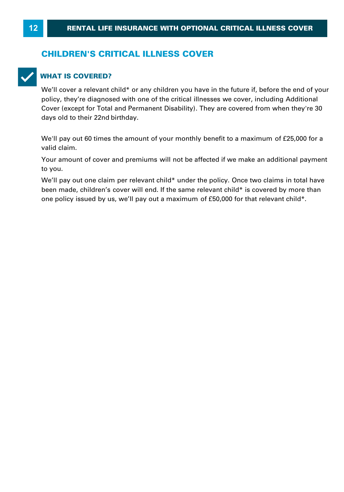# **CHILDREN'S CRITICAL ILLNESS COVER**



# T**WHAT IS COVERED?**

We'll cover a relevant child\* or any children you have in the future if, before the end of your policy, they're diagnosed with one of the critical illnesses we cover , including Additional Cover (except for Total and Permanent Disability) . They are covered from when they're 30 days old to their 22nd birthday. policy, they're diagnosed with one of the critical illnesses we cover, including Additional<br>Cover (except for Total and Permanent Disability). They are covered from when they're 30<br>days old to their 22nd birthday.<br>We'll pa

valid claim.

Your amount of cover and premiums will not be affected if we make an additional payment to you.

We'll pay out one claim per relevant child\* under the policy. Once two claims in total have been made, children's cover will end. If the same relevant child\* is covered by more than Your amount of cover and premiums will not be affected if we make an additional pato you.<br>to you.<br>We'll pay out one claim per relevant child\* under the policy. Once two claims in total<br>been made, children's cover will end.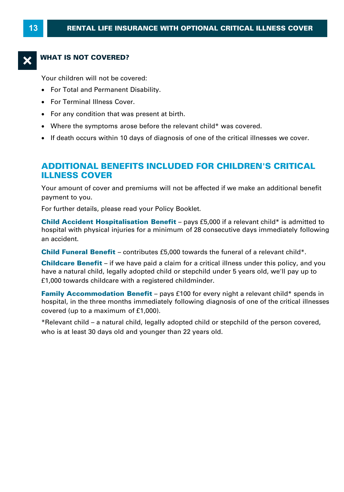# **WHAT IS NOT COVERED?**

Your children will not be covered:

- · For Total and Permanent Disability.
- · For Terminal Illness Cover.
- · For any condition that was present at birth.
- · Where the symptoms arose before the relevant child\* was covered.
- · If death occurs within 10 days of diagnosis of one of the critical illnesses we cover.

# **ADDITIONAL BENEFITS INCLUDED FOR CHILDREN'S CRITICAL ILLNESS COVER**

Your amount of cover and premiums will not be affected if we make an additional benefit payment to you.

For further details, please read your Policy Booklet.

Your amount of cover and premiums will not be affected if we make an additional benefit<br>payment to you.<br>For further details, please read your Policy Booklet.<br>**Child Accident Hospitalisation Benefit** – pays £5,000 if a rele Four amount of sever and premiums will not be anceted if we make an additional benefit<br>payment to you.<br>**Child Accident Hospitalisation Benefit** – pays £5,000 if a relevant child\* is admitted to<br>hospital with physical injur an accident. **Child Accident Hospitalisation Benefit** – pays £5,000 if a relevant child\* is admitted to hospital with physical injuries for a minimum of 28 consecutive days immediately followi<br>an accident.<br>**Child Funeral Benefit** – con hospital with physical injuries for a minimum of 28 consecutive days immediately following<br>an accident.<br>**Child Funeral Benefit** – contributes £5,000 towards the funeral of a relevant child\*.<br>**Childcare Benefit** – if we hav

**Childcare Benefit** – if we have paid a claim for a critical illness under this policy, and you **Child Funeral Benefit** – contributes £5,000 towards the fur<br> **Childcare Benefit** – if we have paid a claim for a critical illr<br>
have a natural child, legally adopted child or stepchild under<br> **E1,000 towards childcare wit Childcare Benefit** – if we have paid a claim for a critical illness under this policy, and you have a natural child, legally adopted child or stepchild under 5 years old, we'll pay up to £1,000 towards childcare with a re

have a natural child, legally adopted child of<br>f1,000 towards childcare with a registered<br>**Family Accommodation Benefit** – pays<br>hospital, in the three months immediately to<br>covered (up to a maximum of f1,000).<br>\*Relevant ch **Family Accommodation Benefit** – pays £100 for every night a relevant child\* spends in hospital, in the three months immediately following diagnosis of one of the critical illnesses covered (up to a maximum of £1,000).<br>\*R

who is at least 30 days old and younger than 22 years old.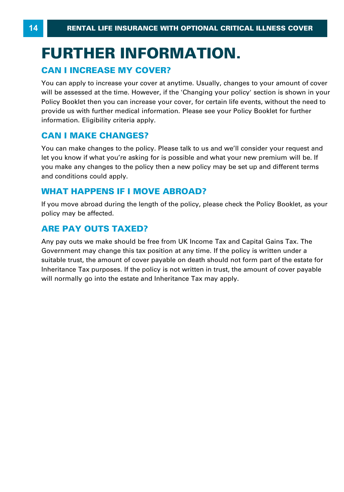# **FURTHER INFORMATION. CAN I INCREASE MY COVER?**<br>
FURTHER INFORMA<br>
The CAN I INCREASE MY COVER?<br>
The COVER Produced a proply to increase your cover at anytime.

You can apply to increase your cover at anytime. Usually, changes to your amount of cover will be assessed at the time. However, if the 'Changing your policy' section is shown in your Policy Booklet then you can increase your cover, for certain life events, without the need to provide us with further medical information. Please see your Policy Booklet for further information. Eligibility criteria apply. For surfapping to minitate year server at all<br>will be assessed at the time. However, if t<br>Policy Booklet then you can increase your<br>provide us with further medical information<br>information. Eligibility criteria apply.<br>**CAN** 

You can make changes to the policy. Please talk to us and we'll consider your request and let you know if what you're asking for is possible and what your new premium will be. If **CAN I MAKE CHANGES?**<br>You can make changes to the policy. Please talk to us and we'll consider your request and<br>let you know if what you're asking for is possible and what your new premium will be. If<br>you make any changes and conditions could apply. You can make changes to the policy. Please talk to us and w<br>let you know if what you're asking for is possible and what y<br>you make any changes to the policy then a new policy may<br>and conditions could apply.<br>**WHAT HAPPENS I** 

If you move abroad during the length of the policy, please check the Policy Booklet, as your policy may be affected.

# **ARE PAY OUTS TAXED?**

Any pay outs we make should be free from UK Income Tax and Capital Gains Tax. The Government may change this tax position at any time. If the policy is written under a suitable trust, the amount of cover payable on death should not form part of the estate for Inheritance Tax purposes. If the policy is not written in trust, the amount of cover payable will normally go into the estate and Inheritance Tax may apply.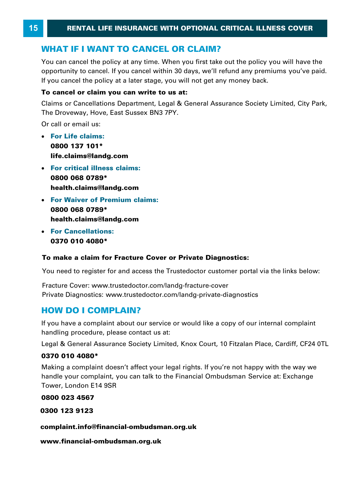**ENTAL LIFE INSURANCE WITH OPTIONAL CRITIC<br>
WHAT IF I WANT TO CANCEL OR CLAIM?**<br>
You can cancel the policy at any time. When you first take out the You can cancel the policy at any time. When you first take out the policy you will have the opportunity to cancel. If you cancel within 30 days, we'll refund any premiums you've paid. **WHAT IF I WANT TO CANCEL OR CLAIM?**<br>You can cancel the policy at any time. When you first take out the policy you opportunity to cancel. If you cancel within 30 days, we'll refund any premium<br>If you cancel the policy at a If you cancel the policy at a later stage, you will not get any money back.<br>**To cancel or claim you can write to us at:**<br>Claims or Cancellations Department, Legal & General Assurance Society Limited, City Park,

# **To cancel or claim you can write to us at:**

The Droveway, Hove, East Sussex BN3 7PY.

Or call or email us:

- · **For Life claims: 0800 137 101\* life.claims@landg.com**
- · **For critical illness claims: 0800 068 0789\* health.claims@landg.com**
- · **For Waiver of Premium claims: 0800 068 0789\* health.claims@landg.com**
- · **For Cancellations: 0370 010 4080 \***

# **To make a claim for Fracture Cover or Private Diagnostics:**

You need to register for and access the Trustedoctor customer portal via the links below:

**HOWDO I COMPLAIN?**<br> **HOW DO I COMPLAIN?**<br> **HOW DO I COMPLAIN?**<br> **HOW DO I COMPLAIN?** Fracture Cover: www.trustedoctor.com/landg-fracture-cover Private Diagnostics: www.trustedoctor.com/landg-private-diagnostics

**HOW DO I COMPLAIN?**<br>If you have a complaint about our service or would like a copy of our internal complaint handling procedure, please contact us at:

Legal & General Assurance Society Limited, Knox Court, 10 Fitzalan Place, Cardiff, CF24 0TL

# **0370 010 4080 \***

handling procedure, please contact us at:<br>Legal & General Assurance Society Limited, Knox Court, 10 Fitzalan Place, Cardiff, CF24 0TL<br>**0370 010 4080\***<br>Making a complaint doesn't affect your legal rights. If you're not happ Tower, London E14 9SR

**0800 023 4567** 

**0300 123 9123** 

**complaint.info@financial-ombudsman.org.uk** 

**www.financial-ombudsman.org.uk**